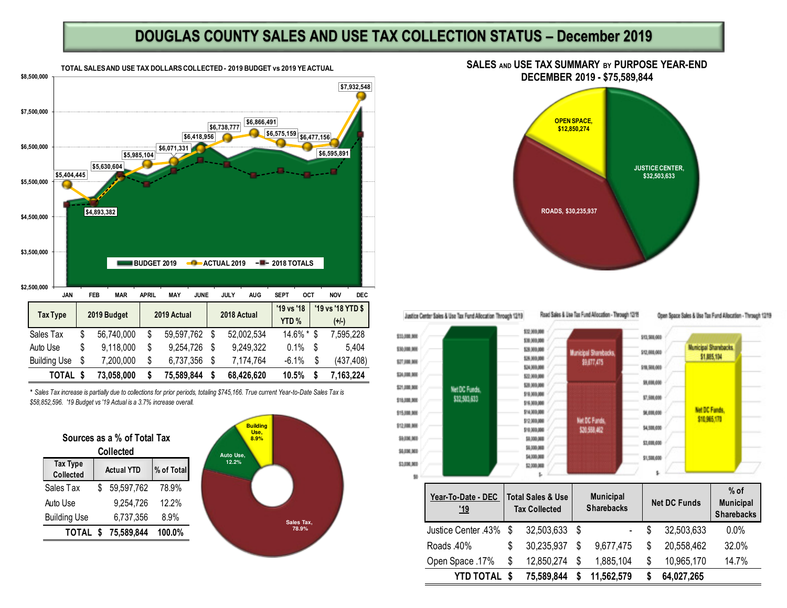## **DOUGLAS COUNTY SALES AND USE TAX COLLECTION STATUS – December 2019**



*\* Sales Tax increase is partially due to collections for prior periods, totaling \$745,166. True current Year-to-Date Sales Tax is \$58,852,596. '19 Budget vs '19 Actual is a 3.7% increase overall.* 

| Sources as a % of Total Tax<br><b>Collected</b> |                   |            |            |  |  |
|-------------------------------------------------|-------------------|------------|------------|--|--|
| <b>Tax Type</b><br><b>Collected</b>             | <b>Actual YTD</b> |            | % of Total |  |  |
| Sales Tax                                       |                   | 59,597,762 | 78.9%      |  |  |
| Auto Use                                        |                   | 9,254,726  | $12.2\%$   |  |  |
| <b>Building Use</b>                             |                   | 6,737,356  | $8.9\%$    |  |  |
| TOTAL \$                                        |                   | 75,589,844 | 100.0%     |  |  |



## **SALES AND USE TAX SUMMARY BY PURPOSE YEAR-END DECEMBER 2019 - \$75,589,844**



Justice Center Sales & Use Tax Fund Allocation Through 1219





Road Sales & Lise Tax Fund Allocation - Through 1219

**Auricipal Sharebacks** 

99.677.475

**Net DC Funds** 

\$20,598,462

 $\mathbf{L}$ 

Open Space Sales & Use Tax Fund Allocation - Through 1219



| Year-To-Date - DEC<br><u>'19</u> |     | <b>Total Sales &amp; Use</b><br><b>Tax Collected</b> |   | <b>Municipal</b><br><b>Sharebacks</b> | <b>Net DC Funds</b> | $%$ of<br><b>Municipal</b><br><b>Sharebacks</b> |
|----------------------------------|-----|------------------------------------------------------|---|---------------------------------------|---------------------|-------------------------------------------------|
| Justice Center .43%              | -\$ | 32,503,633                                           | S |                                       | 32,503,633          | 0.0%                                            |
| Roads 40%                        | S   | 30,235,937                                           | S | 9,677,475                             | \$<br>20,558,462    | 32.0%                                           |
| Open Space .17%                  | \$  | 12,850,274                                           | S | 1,885,104                             | \$<br>10,965,170    | 14.7%                                           |
| YTD TOTAL                        | -S  | 75,589,844                                           |   | 11,562,579                            | 64,027,265          |                                                 |